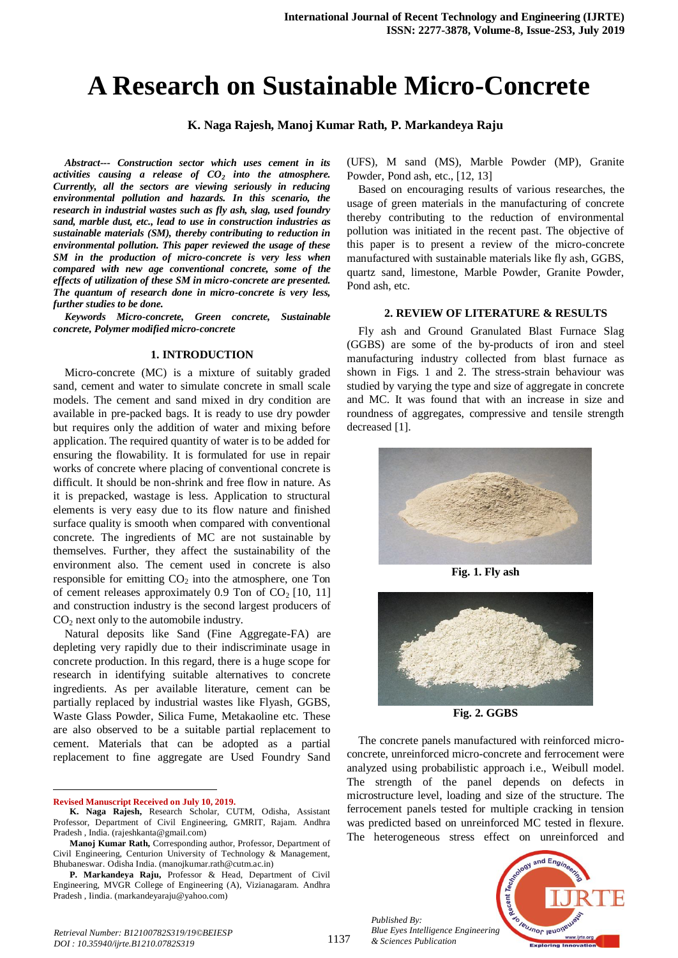# **A Research on Sustainable Micro-Concrete**

**K. Naga Rajesh, Manoj Kumar Rath, P. Markandeya Raju**

*Abstract--- Construction sector which uses cement in its activities causing a release of CO<sup>2</sup> into the atmosphere. Currently, all the sectors are viewing seriously in reducing environmental pollution and hazards. In this scenario, the research in industrial wastes such as fly ash, slag, used foundry sand, marble dust, etc., lead to use in construction industries as sustainable materials (SM), thereby contributing to reduction in environmental pollution. This paper reviewed the usage of these SM in the production of micro-concrete is very less when compared with new age conventional concrete, some of the effects of utilization of these SM in micro-concrete are presented. The quantum of research done in micro-concrete is very less, further studies to be done.*

*Keywords Micro-concrete, Green concrete, Sustainable concrete, Polymer modified micro-concrete* 

### **1. INTRODUCTION**

Micro-concrete (MC) is a mixture of suitably graded sand, cement and water to simulate concrete in small scale models. The cement and sand mixed in dry condition are available in pre-packed bags. It is ready to use dry powder but requires only the addition of water and mixing before application. The required quantity of water is to be added for ensuring the flowability. It is formulated for use in repair works of concrete where placing of conventional concrete is difficult. It should be non-shrink and free flow in nature. As it is prepacked, wastage is less. Application to structural elements is very easy due to its flow nature and finished surface quality is smooth when compared with conventional concrete. The ingredients of MC are not sustainable by themselves. Further, they affect the sustainability of the environment also. The cement used in concrete is also responsible for emitting  $CO<sub>2</sub>$  into the atmosphere, one Ton of cement releases approximately 0.9 Ton of  $CO<sub>2</sub>$  [10, 11] and construction industry is the second largest producers of  $CO<sub>2</sub>$  next only to the automobile industry.

Natural deposits like Sand (Fine Aggregate-FA) are depleting very rapidly due to their indiscriminate usage in concrete production. In this regard, there is a huge scope for research in identifying suitable alternatives to concrete ingredients. As per available literature, cement can be partially replaced by industrial wastes like Flyash, GGBS, Waste Glass Powder, Silica Fume, Metakaoline etc. These are also observed to be a suitable partial replacement to cement. Materials that can be adopted as a partial replacement to fine aggregate are Used Foundry Sand

**Revised Manuscript Received on July 10, 2019.**

 $\ddot{\phantom{a}}$ 

(UFS), M sand (MS), Marble Powder (MP), Granite Powder, Pond ash, etc., [12, 13]

Based on encouraging results of various researches, the usage of green materials in the manufacturing of concrete thereby contributing to the reduction of environmental pollution was initiated in the recent past. The objective of this paper is to present a review of the micro-concrete manufactured with sustainable materials like fly ash, GGBS, quartz sand, limestone, Marble Powder, Granite Powder, Pond ash, etc.

#### **2. REVIEW OF LITERATURE & RESULTS**

Fly ash and Ground Granulated Blast Furnace Slag (GGBS) are some of the by-products of iron and steel manufacturing industry collected from blast furnace as shown in Figs. 1 and 2. The stress-strain behaviour was studied by varying the type and size of aggregate in concrete and MC. It was found that with an increase in size and roundness of aggregates, compressive and tensile strength decreased [1].



**Fig. 1. Fly ash**



**Fig. 2. GGBS**

The concrete panels manufactured with reinforced microconcrete, unreinforced micro-concrete and ferrocement were analyzed using probabilistic approach i.e., Weibull model. The strength of the panel depends on defects in microstructure level, loading and size of the structure. The ferrocement panels tested for multiple cracking in tension was predicted based on unreinforced MC tested in flexure. The heterogeneous stress effect on unreinforced and

*Published By: Blue Eyes Intelligence Engineering & Sciences Publication* 



**K. Naga Rajesh,** Research Scholar, CUTM, Odisha, Assistant Professor, Department of Civil Engineering, GMRIT, Rajam. Andhra Pradesh , India. (rajeshkanta@gmail.com)

**Manoj Kumar Rath,** Corresponding author, Professor, Department of Civil Engineering, Centurion University of Technology & Management, Bhubaneswar. Odisha India. (manojkumar.rath@cutm.ac.in)

**P. Markandeya Raju,** Professor & Head, Department of Civil Engineering, MVGR College of Engineering (A), Vizianagaram. Andhra Pradesh , Iindia. (markandeyaraju@yahoo.com)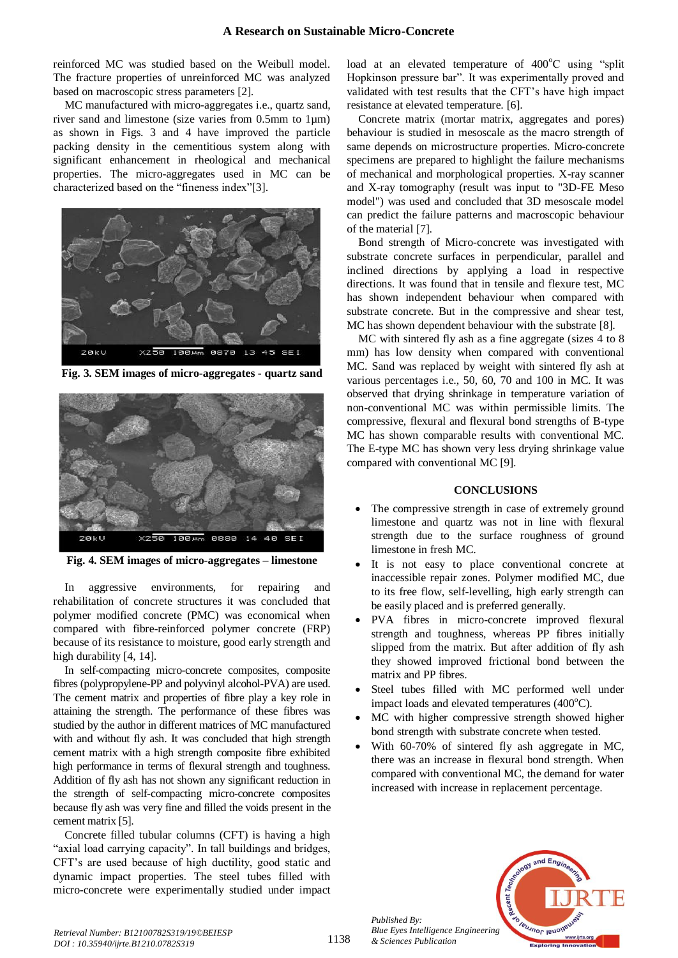reinforced MC was studied based on the Weibull model. The fracture properties of unreinforced MC was analyzed based on macroscopic stress parameters [2].

MC manufactured with micro-aggregates i.e., quartz sand, river sand and limestone (size varies from 0.5mm to 1µm) as shown in Figs. 3 and 4 have improved the particle packing density in the cementitious system along with significant enhancement in rheological and mechanical properties. The micro-aggregates used in MC can be characterized based on the "fineness index"[3].



**Fig. 3. SEM images of micro-aggregates - quartz sand**



**Fig. 4. SEM images of micro-aggregates – limestone**

In aggressive environments, for repairing and rehabilitation of concrete structures it was concluded that polymer modified concrete (PMC) was economical when compared with fibre-reinforced polymer concrete (FRP) because of its resistance to moisture, good early strength and high durability [4, 14].

In self-compacting micro-concrete composites, composite fibres (polypropylene-PP and polyvinyl alcohol-PVA) are used. The cement matrix and properties of fibre play a key role in attaining the strength. The performance of these fibres was studied by the author in different matrices of MC manufactured with and without fly ash. It was concluded that high strength cement matrix with a high strength composite fibre exhibited high performance in terms of flexural strength and toughness. Addition of fly ash has not shown any significant reduction in the strength of self-compacting micro-concrete composites because fly ash was very fine and filled the voids present in the cement matrix [5].

Concrete filled tubular columns (CFT) is having a high "axial load carrying capacity". In tall buildings and bridges, CFT's are used because of high ductility, good static and dynamic impact properties. The steel tubes filled with micro-concrete were experimentally studied under impact

load at an elevated temperature of  $400^{\circ}$ C using "split" Hopkinson pressure bar". It was experimentally proved and validated with test results that the CFT's have high impact resistance at elevated temperature. [6].

Concrete matrix (mortar matrix, aggregates and pores) behaviour is studied in mesoscale as the macro strength of same depends on microstructure properties. Micro-concrete specimens are prepared to highlight the failure mechanisms of mechanical and morphological properties. X-ray scanner and X-ray tomography (result was input to "3D-FE Meso model") was used and concluded that 3D mesoscale model can predict the failure patterns and macroscopic behaviour of the material [7].

Bond strength of Micro-concrete was investigated with substrate concrete surfaces in perpendicular, parallel and inclined directions by applying a load in respective directions. It was found that in tensile and flexure test, MC has shown independent behaviour when compared with substrate concrete. But in the compressive and shear test, MC has shown dependent behaviour with the substrate [8].

MC with sintered fly ash as a fine aggregate (sizes 4 to 8 mm) has low density when compared with conventional MC. Sand was replaced by weight with sintered fly ash at various percentages i.e., 50, 60, 70 and 100 in MC. It was observed that drying shrinkage in temperature variation of non-conventional MC was within permissible limits. The compressive, flexural and flexural bond strengths of B-type MC has shown comparable results with conventional MC. The E-type MC has shown very less drying shrinkage value compared with conventional MC [9].

# **CONCLUSIONS**

- The compressive strength in case of extremely ground limestone and quartz was not in line with flexural strength due to the surface roughness of ground limestone in fresh MC.
- It is not easy to place conventional concrete at inaccessible repair zones. Polymer modified MC, due to its free flow, self-levelling, high early strength can be easily placed and is preferred generally.
- PVA fibres in micro-concrete improved flexural strength and toughness, whereas PP fibres initially slipped from the matrix. But after addition of fly ash they showed improved frictional bond between the matrix and PP fibres.
- Steel tubes filled with MC performed well under impact loads and elevated temperatures  $(400^{\circ}C)$ .
- MC with higher compressive strength showed higher bond strength with substrate concrete when tested.
- With 60-70% of sintered fly ash aggregate in MC, there was an increase in flexural bond strength. When compared with conventional MC, the demand for water increased with increase in replacement percentage.



*Published By: Blue Eyes Intelligence Engineering & Sciences Publication*